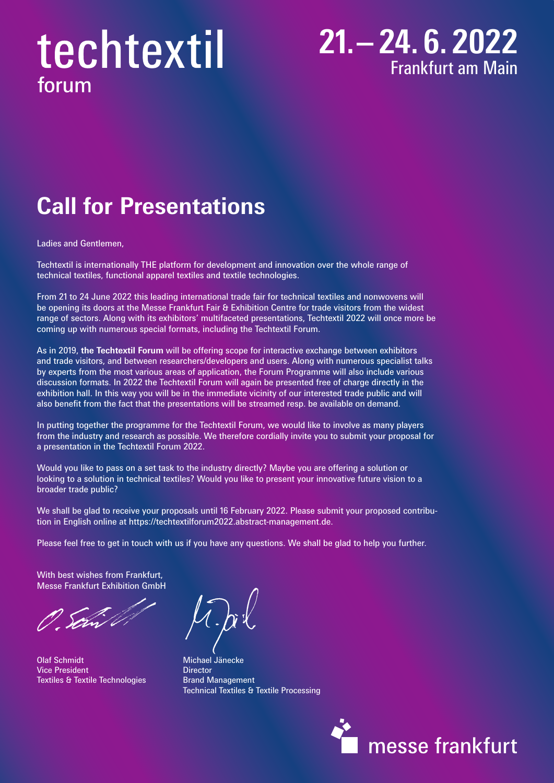# techtextil forum

#### **21.– 24. 6. 2022** Frankfurt am Main

## **Call for Presentations**

Ladies and Gentlemen,

Techtextil is internationally THE platform for development and innovation over the whole range of technical textiles, functional apparel textiles and textile technologies.

From 21 to 24 June 2022 this leading international trade fair for technical textiles and nonwovens will be opening its doors at the Messe Frankfurt Fair & Exhibition Centre for trade visitors from the widest range of sectors. Along with its exhibitors' multifaceted presentations, Techtextil 2022 will once more be coming up with numerous special formats, including the Techtextil Forum.

As in 2019, **the Techtextil Forum** will be offering scope for interactive exchange between exhibitors and trade visitors, and between researchers/developers and users. Along with numerous specialist talks by experts from the most various areas of application, the Forum Programme will also include various discussion formats. In 2022 the Techtextil Forum will again be presented free of charge directly in the exhibition hall. In this way you will be in the immediate vicinity of our interested trade public and will also benefit from the fact that the presentations will be streamed resp. be available on demand.

In putting together the programme for the Techtextil Forum, we would like to involve as many players from the industry and research as possible. We therefore cordially invite you to submit your proposal for a presentation in the Techtextil Forum 2022.

Would you like to pass on a set task to the industry directly? Maybe you are offering a solution or looking to a solution in technical textiles? Would you like to present your innovative future vision to a broader trade public?

We shall be glad to receive your proposals until 16 February 2022. Please submit your proposed contribution in English online at https://techtextilforum2022.abstract-management.de.

Please feel free to get in touch with us if you have any questions. We shall be glad to help you further.

With best wishes from Frankfurt, Messe Frankfurt Exhibition GmbH

Olaf Schmidt Michael Jänecke **Vice President Communist President Communist President** Textiles & Textile Technologies **Brand Management** 

Technical Textiles & Textile Processing

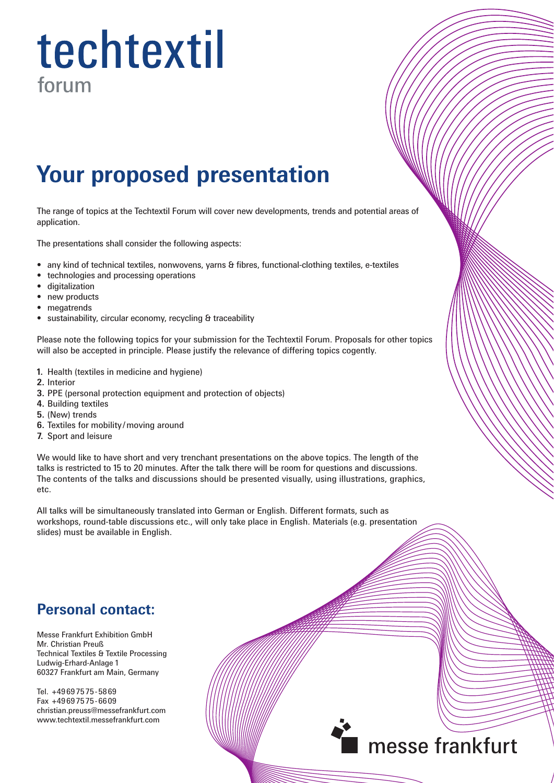# techtextil forum

### **Your proposed presentation**

The range of topics at the Techtextil Forum will cover new developments, trends and potential areas of application.

The presentations shall consider the following aspects:

- any kind of technical textiles, nonwovens, yarns & fibres, functional-clothing textiles, e-textiles
- technologies and processing operations
- digitalization
- new products
- megatrends
- sustainability, circular economy, recycling & traceability

Please note the following topics for your submission for the Techtextil Forum. Proposals for other topics will also be accepted in principle. Please justify the relevance of differing topics cogently.

- **1.** Health (textiles in medicine and hygiene)
- **2.** Interior
- **3.** PPE (personal protection equipment and protection of objects)
- **4.** Building textiles
- **5.** (New) trends
- **6.** Textiles for mobility /moving around
- **7.** Sport and leisure

We would like to have short and very trenchant presentations on the above topics. The length of the talks is restricted to 15 to 20 minutes. After the talk there will be room for questions and discussions. The contents of the talks and discussions should be presented visually, using illustrations, graphics, etc.

All talks will be simultaneously translated into German or English. Different formats, such as workshops, round-table discussions etc., will only take place in English. Materials (e.g. presentation slides) must be available in English.

#### **Personal contact:**

Messe Frankfurt Exhibition GmbH Mr. Christian Preuß Technical Textiles & Textile Processing Ludwig-Erhard-Anlage 1 60327 Frankfurt am Main, Germany

Tel. +49697575-5869 Fax +49697575-6609 christian.preuss@messefrankfurt.com www.techtextil.messefrankfurt.com

#### messe frankfurt